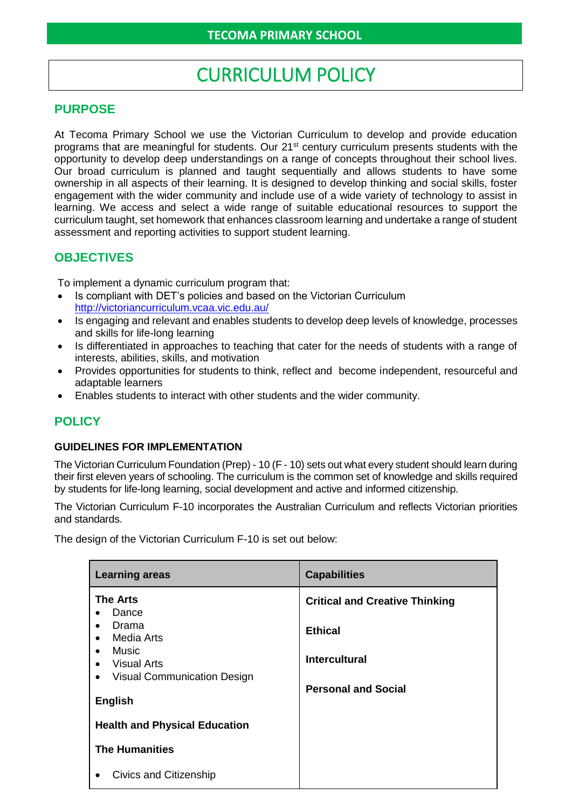# CURRICULUM POLICY

## **PURPOSE**

At Tecoma Primary School we use the Victorian Curriculum to develop and provide education programs that are meaningful for students. Our 21<sup>st</sup> century curriculum presents students with the opportunity to develop deep understandings on a range of concepts throughout their school lives. Our broad curriculum is planned and taught sequentially and allows students to have some ownership in all aspects of their learning. It is designed to develop thinking and social skills, foster engagement with the wider community and include use of a wide variety of technology to assist in learning. We access and select a wide range of suitable educational resources to support the curriculum taught, set homework that enhances classroom learning and undertake a range of student assessment and reporting activities to support student learning.

# **OBJECTIVES**

To implement a dynamic curriculum program that:

- Is compliant with DET's policies and based on the Victorian Curriculum <http://victoriancurriculum.vcaa.vic.edu.au/>
- Is engaging and relevant and enables students to develop deep levels of knowledge, processes and skills for life-long learning
- Is differentiated in approaches to teaching that cater for the needs of students with a range of interests, abilities, skills, and motivation
- Provides opportunities for students to think, reflect and become independent, resourceful and adaptable learners
- Enables students to interact with other students and the wider community.

## **POLICY**

#### **GUIDELINES FOR IMPLEMENTATION**

The Victorian Curriculum Foundation (Prep) - 10 (F - 10) sets out what every student should learn during their first eleven years of schooling. The curriculum is the common set of knowledge and skills required by students for life-long learning, social development and active and informed citizenship.

The Victorian Curriculum F-10 incorporates the Australian Curriculum and reflects Victorian priorities and standards.

The design of the Victorian Curriculum F-10 is set out below:

| <b>Learning areas</b>                                                                                                                                                    | <b>Capabilities</b>                                                             |
|--------------------------------------------------------------------------------------------------------------------------------------------------------------------------|---------------------------------------------------------------------------------|
| <b>The Arts</b><br>Dance<br>Drama<br>$\bullet$<br>Media Arts<br>$\bullet$<br>Music<br><b>Visual Arts</b><br>$\bullet$<br><b>Visual Communication Design</b><br>$\bullet$ | <b>Critical and Creative Thinking</b><br><b>Ethical</b><br><b>Intercultural</b> |
| <b>English</b>                                                                                                                                                           | <b>Personal and Social</b>                                                      |
| <b>Health and Physical Education</b>                                                                                                                                     |                                                                                 |
| <b>The Humanities</b>                                                                                                                                                    |                                                                                 |
| Civics and Citizenship                                                                                                                                                   |                                                                                 |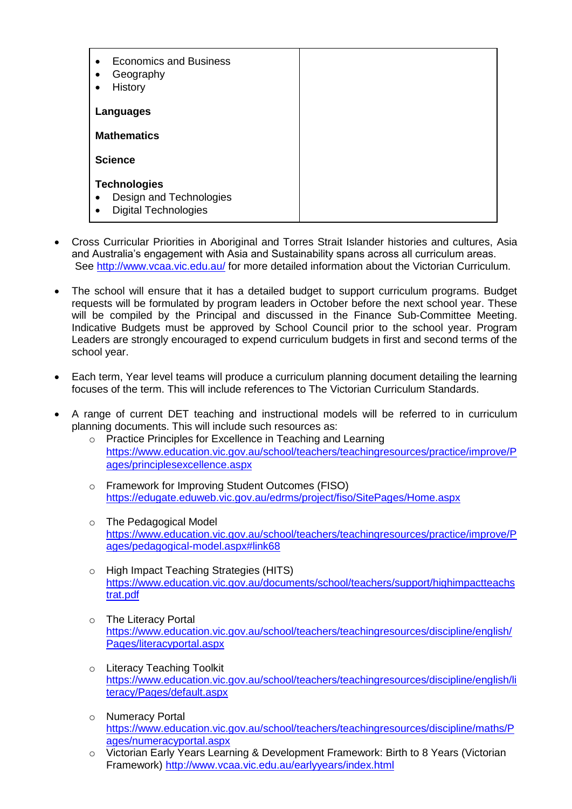| <b>Economics and Business</b><br>Geography<br>$\bullet$<br>History<br>$\bullet$                         |  |
|---------------------------------------------------------------------------------------------------------|--|
| Languages                                                                                               |  |
| <b>Mathematics</b>                                                                                      |  |
| <b>Science</b>                                                                                          |  |
| <b>Technologies</b><br>Design and Technologies<br>$\bullet$<br><b>Digital Technologies</b><br>$\bullet$ |  |

- Cross Curricular Priorities in Aboriginal and Torres Strait Islander histories and cultures, Asia and Australia's engagement with Asia and Sustainability spans across all curriculum areas. See<http://www.vcaa.vic.edu.au/> for more detailed information about the Victorian Curriculum.
- The school will ensure that it has a detailed budget to support curriculum programs. Budget requests will be formulated by program leaders in October before the next school year. These will be compiled by the Principal and discussed in the Finance Sub-Committee Meeting. Indicative Budgets must be approved by School Council prior to the school year. Program Leaders are strongly encouraged to expend curriculum budgets in first and second terms of the school year.
- Each term, Year level teams will produce a curriculum planning document detailing the learning focuses of the term. This will include references to The Victorian Curriculum Standards.
- A range of current DET teaching and instructional models will be referred to in curriculum planning documents. This will include such resources as:
	- o Practice Principles for Excellence in Teaching and Learning [https://www.education.vic.gov.au/school/teachers/teachingresources/practice/improve/P](https://www.education.vic.gov.au/school/teachers/teachingresources/practice/improve/Pages/principlesexcellence.aspx) [ages/principlesexcellence.aspx](https://www.education.vic.gov.au/school/teachers/teachingresources/practice/improve/Pages/principlesexcellence.aspx)
	- o Framework for Improving Student Outcomes (FISO) <https://edugate.eduweb.vic.gov.au/edrms/project/fiso/SitePages/Home.aspx>
	- o The Pedagogical Model [https://www.education.vic.gov.au/school/teachers/teachingresources/practice/improve/P](https://www.education.vic.gov.au/school/teachers/teachingresources/practice/improve/Pages/pedagogical-model.aspx#link68) [ages/pedagogical-model.aspx#link68](https://www.education.vic.gov.au/school/teachers/teachingresources/practice/improve/Pages/pedagogical-model.aspx#link68)
	- o [High Impact Teaching Strategies \(HITS\)](file:///C:/Users/01873021/Documents/2019/Admin/Staff%20USB%20for%202019/Staff%20Handbook%20-%202019.doc%23_https:/www.education.vic.gov.au/do) [https://www.education.vic.gov.au/documents/school/teachers/support/highimpactteachs](https://www.education.vic.gov.au/documents/school/teachers/support/highimpactteachstrat.pdf) [trat.pdf](https://www.education.vic.gov.au/documents/school/teachers/support/highimpactteachstrat.pdf)
	- o The Literacy Portal [https://www.education.vic.gov.au/school/teachers/teachingresources/discipline/english/](https://www.education.vic.gov.au/school/teachers/teachingresources/discipline/english/Pages/literacyportal.aspx) [Pages/literacyportal.aspx](https://www.education.vic.gov.au/school/teachers/teachingresources/discipline/english/Pages/literacyportal.aspx)
	- o Literacy Teaching Toolkit [https://www.education.vic.gov.au/school/teachers/teachingresources/discipline/english/li](https://www.education.vic.gov.au/school/teachers/teachingresources/discipline/english/literacy/Pages/default.aspx) [teracy/Pages/default.aspx](https://www.education.vic.gov.au/school/teachers/teachingresources/discipline/english/literacy/Pages/default.aspx)
	- o Numeracy Portal [https://www.education.vic.gov.au/school/teachers/teachingresources/discipline/maths/P](https://www.education.vic.gov.au/school/teachers/teachingresources/discipline/maths/Pages/numeracyportal.aspx) [ages/numeracyportal.aspx](https://www.education.vic.gov.au/school/teachers/teachingresources/discipline/maths/Pages/numeracyportal.aspx)
	- o [Victorian Early Years Learning & Development Framework: Birth to 8 Years \(Victorian](file:///C:/Users/01873021/Documents/2019/Admin/Staff%20USB%20for%202019/Staff%20Handbook%20-%202019.doc%23_Victorian_Early_Years)  [Framework\)](file:///C:/Users/01873021/Documents/2019/Admin/Staff%20USB%20for%202019/Staff%20Handbook%20-%202019.doc%23_Victorian_Early_Years) <http://www.vcaa.vic.edu.au/earlyyears/index.html>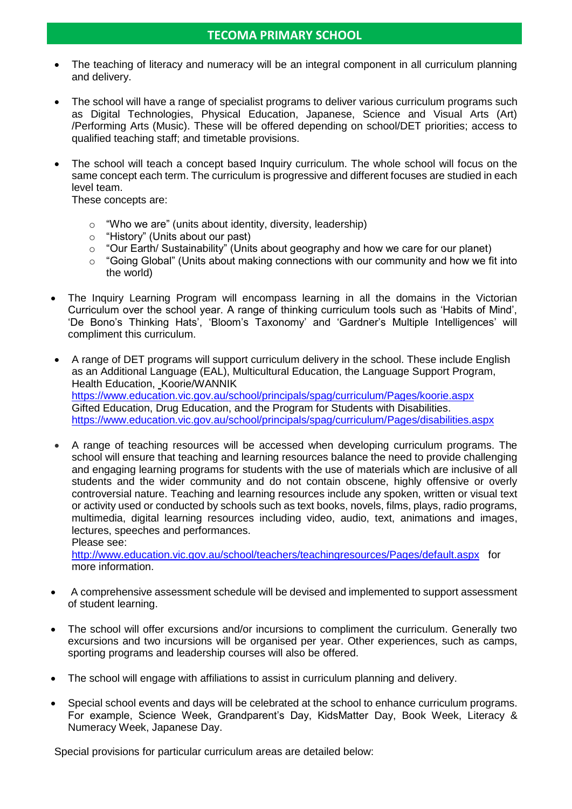- The teaching of literacy and numeracy will be an integral component in all curriculum planning and delivery.
- The school will have a range of specialist programs to deliver various curriculum programs such as Digital Technologies, Physical Education, Japanese, Science and Visual Arts (Art) /Performing Arts (Music). These will be offered depending on school/DET priorities; access to qualified teaching staff; and timetable provisions.
- The school will teach a concept based Inquiry curriculum. The whole school will focus on the same concept each term. The curriculum is progressive and different focuses are studied in each level team.

These concepts are:

- o "Who we are" (units about identity, diversity, leadership)
- o "History" (Units about our past)
- o "Our Earth/ Sustainability" (Units about geography and how we care for our planet)
- o "Going Global" (Units about making connections with our community and how we fit into the world)
- The Inquiry Learning Program will encompass learning in all the domains in the Victorian Curriculum over the school year. A range of thinking curriculum tools such as 'Habits of Mind', 'De Bono's Thinking Hats', 'Bloom's Taxonomy' and 'Gardner's Multiple Intelligences' will compliment this curriculum.
- A range of DET programs will support curriculum delivery in the school. These include English as an Additional Language (EAL), Multicultural Education, the Language Support Program, Health Education, Koorie/WANNIK <https://www.education.vic.gov.au/school/principals/spag/curriculum/Pages/koorie.aspx> Gifted Education, Drug Education, and the Program for Students with Disabilities. <https://www.education.vic.gov.au/school/principals/spag/curriculum/Pages/disabilities.aspx>
- A range of teaching resources will be accessed when developing curriculum programs. The school will ensure that teaching and learning resources balance the need to provide challenging and engaging learning programs for students with the use of materials which are inclusive of all students and the wider community and do not contain obscene, highly offensive or overly controversial nature. Teaching and learning resources include any spoken, written or visual text or activity used or conducted by schools such as text books, novels, films, plays, radio programs, multimedia, digital learning resources including video, audio, text, animations and images, lectures, speeches and performances.

Please see:

<http://www.education.vic.gov.au/school/teachers/teachingresources/Pages/default.aspx>for more information.

- A comprehensive assessment schedule will be devised and implemented to support assessment of student learning.
- The school will offer excursions and/or incursions to compliment the curriculum. Generally two excursions and two incursions will be organised per year. Other experiences, such as camps, sporting programs and leadership courses will also be offered.
- The school will engage with affiliations to assist in curriculum planning and delivery.
- Special school events and days will be celebrated at the school to enhance curriculum programs. For example, Science Week, Grandparent's Day, KidsMatter Day, Book Week, Literacy & Numeracy Week, Japanese Day.

Special provisions for particular curriculum areas are detailed below: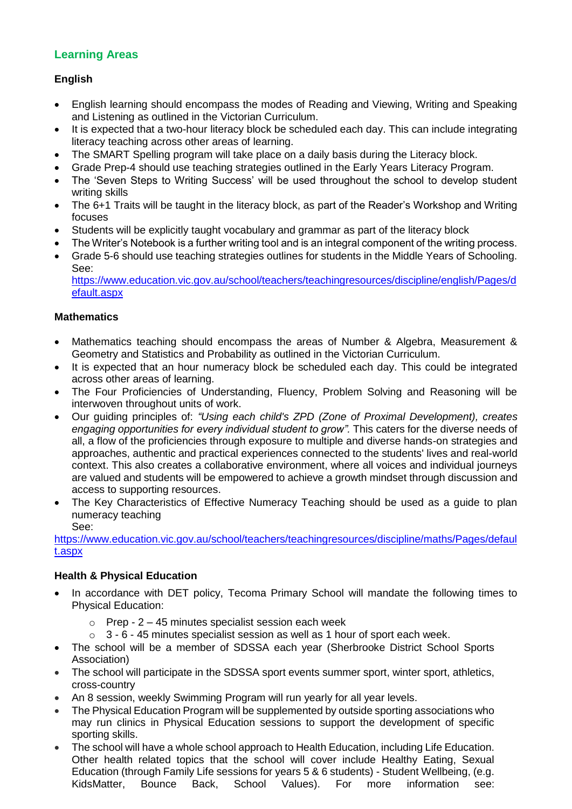# **Learning Areas**

## **English**

- English learning should encompass the modes of Reading and Viewing, Writing and Speaking and Listening as outlined in the Victorian Curriculum.
- It is expected that a two-hour literacy block be scheduled each day. This can include integrating literacy teaching across other areas of learning.
- The SMART Spelling program will take place on a daily basis during the Literacy block.
- Grade Prep-4 should use teaching strategies outlined in the Early Years Literacy Program.
- The 'Seven Steps to Writing Success' will be used throughout the school to develop student writing skills
- The 6+1 Traits will be taught in the literacy block, as part of the Reader's Workshop and Writing focuses
- Students will be explicitly taught vocabulary and grammar as part of the literacy block
- The Writer's Notebook is a further writing tool and is an integral component of the writing process.
- Grade 5-6 should use teaching strategies outlines for students in the Middle Years of Schooling. See: [https://www.education.vic.gov.au/school/teachers/teachingresources/discipline/english/Pages/d](https://www.education.vic.gov.au/school/teachers/teachingresources/discipline/english/Pages/default.aspx) [efault.aspx](https://www.education.vic.gov.au/school/teachers/teachingresources/discipline/english/Pages/default.aspx)

#### **Mathematics**

- Mathematics teaching should encompass the areas of Number & Algebra, Measurement & Geometry and Statistics and Probability as outlined in the Victorian Curriculum.
- It is expected that an hour numeracy block be scheduled each day. This could be integrated across other areas of learning.
- The Four Proficiencies of Understanding, Fluency, Problem Solving and Reasoning will be interwoven throughout units of work.
- Our guiding principles of: *"Using each child's ZPD (Zone of Proximal Development), creates engaging opportunities for every individual student to grow".* This caters for the diverse needs of all, a flow of the proficiencies through exposure to multiple and diverse hands-on strategies and approaches, authentic and practical experiences connected to the students' lives and real-world context. This also creates a collaborative environment, where all voices and individual journeys are valued and students will be empowered to achieve a growth mindset through discussion and access to supporting resources.
- The Key Characteristics of Effective Numeracy Teaching should be used as a guide to plan numeracy teaching See:

[https://www.education.vic.gov.au/school/teachers/teachingresources/discipline/maths/Pages/defaul](https://www.education.vic.gov.au/school/teachers/teachingresources/discipline/maths/Pages/default.aspx) [t.aspx](https://www.education.vic.gov.au/school/teachers/teachingresources/discipline/maths/Pages/default.aspx)

#### **Health & Physical Education**

- In accordance with DET policy, Tecoma Primary School will mandate the following times to Physical Education:
	- $\circ$  Prep 2 45 minutes specialist session each week
	- $\circ$  3 6 45 minutes specialist session as well as 1 hour of sport each week.
- The school will be a member of SDSSA each year (Sherbrooke District School Sports Association)
- The school will participate in the SDSSA sport events summer sport, winter sport, athletics, cross-country
- An 8 session, weekly Swimming Program will run yearly for all year levels.
- The Physical Education Program will be supplemented by outside sporting associations who may run clinics in Physical Education sessions to support the development of specific sporting skills.
- The school will have a whole school approach to Health Education, including Life Education. Other health related topics that the school will cover include Healthy Eating, Sexual Education (through Family Life sessions for years 5 & 6 students) - Student Wellbeing, (e.g. KidsMatter, Bounce Back, School Values). For more information see: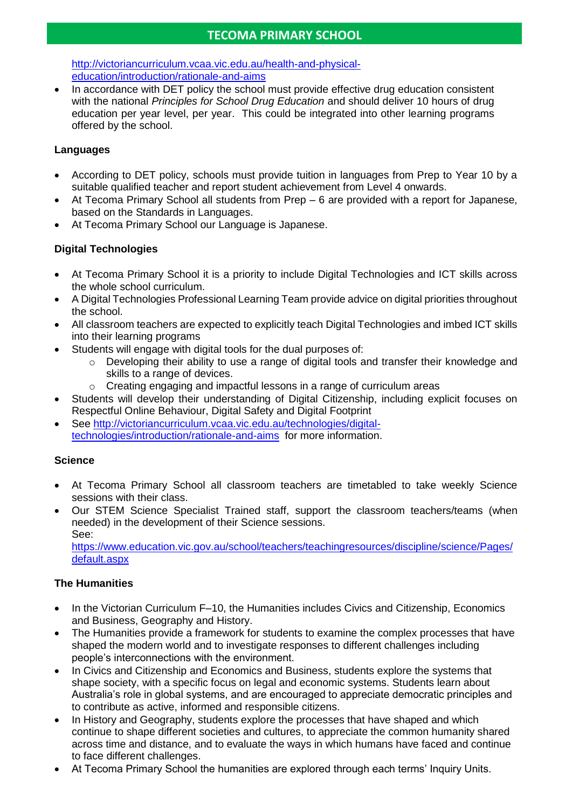[http://victoriancurriculum.vcaa.vic.edu.au/health-and-physical](http://victoriancurriculum.vcaa.vic.edu.au/health-and-physical-education/introduction/rationale-and-aims)[education/introduction/rationale-and-aims](http://victoriancurriculum.vcaa.vic.edu.au/health-and-physical-education/introduction/rationale-and-aims)

• In accordance with DET policy the school must provide effective drug education consistent with the national *Principles for School Drug Education* and should deliver 10 hours of drug education per year level, per year. This could be integrated into other learning programs offered by the school.

## **Languages**

- According to DET policy, schools must provide tuition in languages from Prep to Year 10 by a suitable qualified teacher and report student achievement from Level 4 onwards.
- At Tecoma Primary School all students from Prep 6 are provided with a report for Japanese, based on the Standards in Languages.
- At Tecoma Primary School our Language is Japanese.

### **Digital Technologies**

- At Tecoma Primary School it is a priority to include Digital Technologies and ICT skills across the whole school curriculum.
- A Digital Technologies Professional Learning Team provide advice on digital priorities throughout the school.
- All classroom teachers are expected to explicitly teach Digital Technologies and imbed ICT skills into their learning programs
- Students will engage with digital tools for the dual purposes of:
	- $\circ$  Developing their ability to use a range of digital tools and transfer their knowledge and skills to a range of devices.
	- $\circ$  Creating engaging and impactful lessons in a range of curriculum areas
- Students will develop their understanding of Digital Citizenship, including explicit focuses on Respectful Online Behaviour, Digital Safety and Digital Footprint
- See [http://victoriancurriculum.vcaa.vic.edu.au/technologies/digital](http://victoriancurriculum.vcaa.vic.edu.au/technologies/digital-technologies/introduction/rationale-and-aims)[technologies/introduction/rationale-and-aims](http://victoriancurriculum.vcaa.vic.edu.au/technologies/digital-technologies/introduction/rationale-and-aims) for more information.

#### **Science**

- At Tecoma Primary School all classroom teachers are timetabled to take weekly Science sessions with their class.
- Our STEM Science Specialist Trained staff, support the classroom teachers/teams (when needed) in the development of their Science sessions. See:

[https://www.education.vic.gov.au/school/teachers/teachingresources/discipline/science/Pages/](https://www.education.vic.gov.au/school/teachers/teachingresources/discipline/science/Pages/default.aspx) [default.aspx](https://www.education.vic.gov.au/school/teachers/teachingresources/discipline/science/Pages/default.aspx)

#### **The Humanities**

- In the Victorian Curriculum F–10, the Humanities includes Civics and Citizenship, Economics and Business, Geography and History.
- The Humanities provide a framework for students to examine the complex processes that have shaped the modern world and to investigate responses to different challenges including people's interconnections with the environment.
- In Civics and Citizenship and Economics and Business, students explore the systems that shape society, with a specific focus on legal and economic systems. Students learn about Australia's role in global systems, and are encouraged to appreciate democratic principles and to contribute as active, informed and responsible citizens.
- In History and Geography, students explore the processes that have shaped and which continue to shape different societies and cultures, to appreciate the common humanity shared across time and distance, and to evaluate the ways in which humans have faced and continue to face different challenges.
- At Tecoma Primary School the humanities are explored through each terms' Inquiry Units.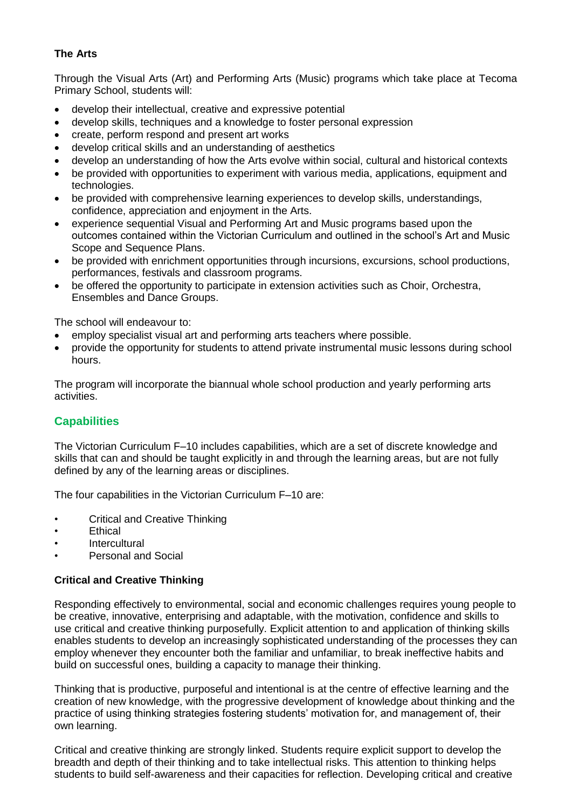## **The Arts**

Through the Visual Arts (Art) and Performing Arts (Music) programs which take place at Tecoma Primary School, students will:

- develop their intellectual, creative and expressive potential
- develop skills, techniques and a knowledge to foster personal expression
- create, perform respond and present art works
- develop critical skills and an understanding of aesthetics
- develop an understanding of how the Arts evolve within social, cultural and historical contexts
- be provided with opportunities to experiment with various media, applications, equipment and technologies.
- be provided with comprehensive learning experiences to develop skills, understandings, confidence, appreciation and enjoyment in the Arts.
- experience sequential Visual and Performing Art and Music programs based upon the outcomes contained within the Victorian Curriculum and outlined in the school's Art and Music Scope and Sequence Plans.
- be provided with enrichment opportunities through incursions, excursions, school productions, performances, festivals and classroom programs.
- be offered the opportunity to participate in extension activities such as Choir, Orchestra, Ensembles and Dance Groups.

The school will endeavour to:

- employ specialist visual art and performing arts teachers where possible.
- provide the opportunity for students to attend private instrumental music lessons during school hours.

The program will incorporate the biannual whole school production and yearly performing arts activities.

#### **Capabilities**

The Victorian Curriculum F–10 includes capabilities, which are a set of discrete knowledge and skills that can and should be taught explicitly in and through the learning areas, but are not fully defined by any of the learning areas or disciplines.

The four capabilities in the Victorian Curriculum F–10 are:

- Critical and Creative Thinking
- **Ethical**
- **Intercultural**
- Personal and Social

#### **Critical and Creative Thinking**

Responding effectively to environmental, social and economic challenges requires young people to be creative, innovative, enterprising and adaptable, with the motivation, confidence and skills to use critical and creative thinking purposefully. Explicit attention to and application of thinking skills enables students to develop an increasingly sophisticated understanding of the processes they can employ whenever they encounter both the familiar and unfamiliar, to break ineffective habits and build on successful ones, building a capacity to manage their thinking.

Thinking that is productive, purposeful and intentional is at the centre of effective learning and the creation of new knowledge, with the progressive development of knowledge about thinking and the practice of using thinking strategies fostering students' motivation for, and management of, their own learning.

Critical and creative thinking are strongly linked. Students require explicit support to develop the breadth and depth of their thinking and to take intellectual risks. This attention to thinking helps students to build self-awareness and their capacities for reflection. Developing critical and creative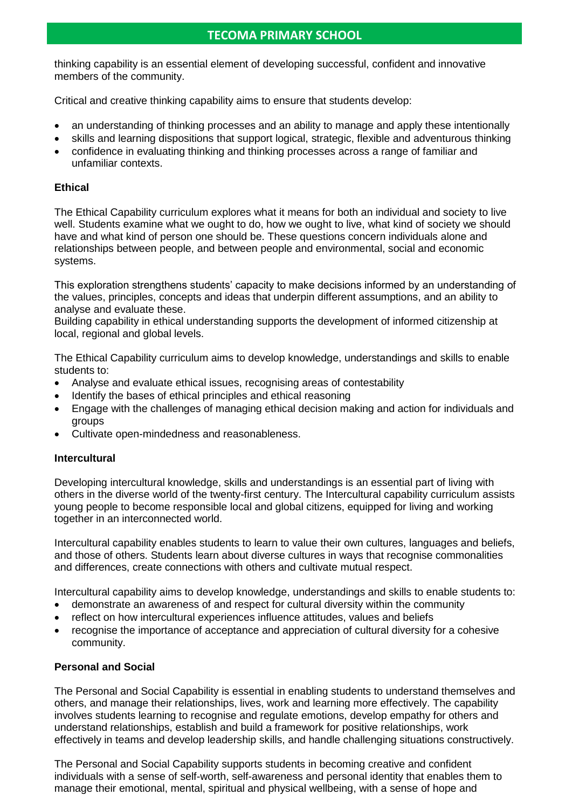## **TECOMA PRIMARY SCHOOL**

thinking capability is an essential element of developing successful, confident and innovative members of the community.

Critical and creative thinking capability aims to ensure that students develop:

- an understanding of thinking processes and an ability to manage and apply these intentionally
- skills and learning dispositions that support logical, strategic, flexible and adventurous thinking
- confidence in evaluating thinking and thinking processes across a range of familiar and unfamiliar contexts.

#### **Ethical**

The Ethical Capability curriculum explores what it means for both an individual and society to live well. Students examine what we ought to do, how we ought to live, what kind of society we should have and what kind of person one should be. These questions concern individuals alone and relationships between people, and between people and environmental, social and economic systems.

This exploration strengthens students' capacity to make decisions informed by an understanding of the values, principles, concepts and ideas that underpin different assumptions, and an ability to analyse and evaluate these.

Building capability in ethical understanding supports the development of informed citizenship at local, regional and global levels.

The Ethical Capability curriculum aims to develop knowledge, understandings and skills to enable students to:

- Analyse and evaluate ethical issues, recognising areas of contestability
- Identify the bases of ethical principles and ethical reasoning
- Engage with the challenges of managing ethical decision making and action for individuals and groups
- Cultivate open-mindedness and reasonableness.

#### **Intercultural**

Developing intercultural knowledge, skills and understandings is an essential part of living with others in the diverse world of the twenty-first century. The Intercultural capability curriculum assists young people to become responsible local and global citizens, equipped for living and working together in an interconnected world.

Intercultural capability enables students to learn to value their own cultures, languages and beliefs, and those of others. Students learn about diverse cultures in ways that recognise commonalities and differences, create connections with others and cultivate mutual respect.

Intercultural capability aims to develop knowledge, understandings and skills to enable students to:

- demonstrate an awareness of and respect for cultural diversity within the community
- reflect on how intercultural experiences influence attitudes, values and beliefs
- recognise the importance of acceptance and appreciation of cultural diversity for a cohesive community.

#### **Personal and Social**

The Personal and Social Capability is essential in enabling students to understand themselves and others, and manage their relationships, lives, work and learning more effectively. The capability involves students learning to recognise and regulate emotions, develop empathy for others and understand relationships, establish and build a framework for positive relationships, work effectively in teams and develop leadership skills, and handle challenging situations constructively.

The Personal and Social Capability supports students in becoming creative and confident individuals with a sense of self-worth, self-awareness and personal identity that enables them to manage their emotional, mental, spiritual and physical wellbeing, with a sense of hope and